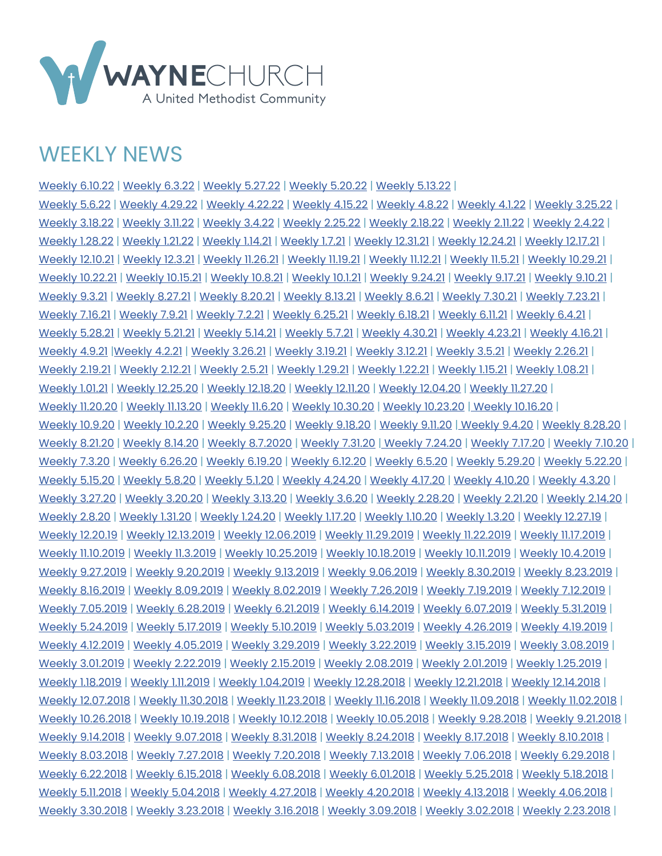

## WEEKLY NEWS

[Weekly 6.10.22](https://conta.cc/3MyWsAd) | [Weekly 6.3.22](https://conta.cc/3meysrj) | [Weekly 5.27.22](https://conta.cc/3NuwwGS) | [Weekly 5.20.22](https://conta.cc/3NuwwGS) | [Weekly 5.13.22](https://conta.cc/3l5BwW2) | [Weekly 5.6.22](https://conta.cc/3KJS54g) | [Weekly 4.29.22](https://conta.cc/3kp2CHn) | [Weekly 4.22.22](https://conta.cc/3OsfSsx) | [Weekly 4.15.22](https://conta.cc/3xB5xEu) | [Weekly 4.8.22](https://conta.cc/3ujN2CH) | [Weekly 4.1.22](https://conta.cc/3DJNwoV) | [Weekly 3.25.22](https://conta.cc/3qzAkxa) | [Weekly 3.18.22](https://conta.cc/3u1tstm) | [Weekly 3.11.22](https://conta.cc/35IaIHz) | [Weekly 3.4.22](https://conta.cc/34e643d) | [Weekly 2.25.22](https://conta.cc/3ImUB00) | [Weekly 2.18.22](https://conta.cc/3I38hgz) | [Weekly 2.11.22](https://conta.cc/3JpjTe7) | [Weekly 2.4.22](https://conta.cc/3she7Ea) | [Weekly 1.28.22](https://conta.cc/3tKVcUz) | [Weekly 1.21.22](https://conta.cc/3FNOWxI) | [Weekly 1.14.21](https://conta.cc/3qqh71h) | [Weekly 1.7.21](https://conta.cc/3HGi0J5) | [Weekly 12.31.21](https://conta.cc/3H9WKet) | [Weekly 12.24.21](https://conta.cc/33USFMX) | [Weekly 12.17.21](https://conta.cc/3FaafKG) | [Weekly 12.10.21](https://conta.cc/3DIvvFL) | [Weekly 12.3.21](https://conta.cc/2ZR4hPn) | [Weekly 11.26.21](https://conta.cc/3rbbgxJ) | [Weekly 11.19.21](https://conta.cc/3oJ8EnV) | [Weekly 11.12.21](https://conta.cc/3n7Wm90) | [Weekly 11.5.21](https://conta.cc/2YmSGXy) | [Weekly 10.29.21](https://conta.cc/2Zy262s) | [Weekly 10.22.21](https://conta.cc/3G06Jn1) | [Weekly 10.15.21](https://conta.cc/3noUo3g) | [Weekly 10.8.21](https://conta.cc/3AoHW7R) | [Weekly 10.1.21](https://conta.cc/3D6Bh3Q) | [Weekly 9.24.21](https://conta.cc/3zC3UnG) | [Weekly 9.17.21](https://conta.cc/3tKFZBd) | [Weekly 9.10.21](https://conta.cc/3la78cJ) | [Weekly 9.3.21](https://conta.cc/38Ap4aJ) | [Weekly 8.27.21](https://conta.cc/38gLhdJ) | [Weekly 8.20.21](https://conta.cc/3j4ANEA) | [Weekly 8.13.21](https://conta.cc/2VQM8ir) | [Weekly 8.6.21](https://conta.cc/3jqpaGX) | [Weekly 7.30.21](https://conta.cc/3rJ4vBA) | [Weekly 7.23.21](https://conta.cc/3rqHcfG) | [Weekly 7.16.21](https://conta.cc/3juZR88) | [Weekly 7.9.21](https://conta.cc/3juZR88) | [Weekly 7.2.21](https://conta.cc/3Ar38eS) | [Weekly 6.25.21](https://conta.cc/3xKLHns) | [Weekly 6.18.21](https://conta.cc/3gGYC2D) | [Weekly 6.11.21](https://conta.cc/3gdEHcN) | [Weekly 6.4.21](https://conta.cc/3gdEHcN) | [Weekly 5.28.21](https://conta.cc/2SwjO30) | [Weekly 5.21.21](https://conta.cc/342qOam) | [Weekly 5.14.21](https://conta.cc/3ohNcGb) | [Weekly 5.7.21](https://conta.cc/3bai5XI) | [Weekly 4.30.21](https://conta.cc/3e2RMnT) | [Weekly 4.23.21](https://conta.cc/3xmF0s3) | [Weekly 4.16.21](https://conta.cc/3sqSjUN) | [Weekly 4.9.21](https://conta.cc/2QbLyc8) [|Weekly 4.2.21](https://conta.cc/31Bevk6) | [Weekly 3.26.21](https://conta.cc/3rujRrH) | [Weekly 3.19.21](https://conta.cc/3vJq0nx) | [Weekly 3.12.21](https://conta.cc/38xGOUh) | [Weekly 3.5.21](https://conta.cc/3rmjHUi) | [Weekly 2.26.21](https://conta.cc/2MrIkzA) | [Weekly 2.19.21](https://conta.cc/3qzOeNN) | [Weekly 2.12.21](https://conta.cc/3tJpQLI) | [Weekly 2.5.21](https://conta.cc/3cL6tfs) | [Weekly 1.29.21](https://conta.cc/3ouKStN) | [Weekly 1.22.21](https://conta.cc/3o85uIe) | [Weekly 1.15.21](https://conta.cc/3iilmWY) | [Weekly 1.08.21](https://conta.cc/3osBFTE) | [Weekly 1.01.21](https://conta.cc/3pylkNq) | [Weekly 12.25.20](https://conta.cc/37LBGw6) | [Weekly 12.18.20](https://conta.cc/3anRozd) | [Weekly 12.11.20](https://conta.cc/2K9Xk3s) | [Weekly 12.04.20](https://conta.cc/2JIZabs) | [Weekly 11.27.20](https://conta.cc/2IMEzm9) | [Weekly 11.20.20](https://conta.cc/2IMEzm9) | [Weekly 11.13.20](https://conta.cc/38KUNqG) | [Weekly 11.6.20](https://conta.cc/3jEIxdf) | [Weekly 10.30.20](https://conta.cc/3jEIxdf) | [Weekly 10.23.20](https://conta.cc/3jlppAZ) | [Weekly 10.16.20](https://conta.cc/3dchx3a) | [Weekly 10.9.20](https://conta.cc/3dchx3a) | [Weekly 10.2.20](https://conta.cc/2S0hnC9) | [Weekly 9.25.20](https://conta.cc/3ioSL0P) | [Weekly 9.18.20](https://conta.cc/3kkcksy) | [Weekly 9.11.20](https://conta.cc/3lPDLvK) | [Weekly 9.4.20](https://conta.cc/3lPDLvK) | [Weekly 8.28.20](https://conta.cc/31zlMBJ) | [Weekly 8.21.20](https://conta.cc/3aIiDCr) | [Weekly 8.14.20](https://conta.cc/3kGGMhj) | [Weekly 8.7.2020](https://conta.cc/2DCfHuW) | [Weekly 7.31.20](https://conta.cc/39I1J6q) | [Weekly 7.24.20](https://conta.cc/39nY25K) | [Weekly 7.17.20](https://conta.cc/391j5er) | [Weekly 7.10.20](https://conta.cc/3fd4vm5) | [Weekly 7.3.20](https://conta.cc/3dToS6s) | [Weekly 6.26.20](https://conta.cc/2BGvNCM) | [Weekly 6.19.20](https://conta.cc/2UXTmgX) | [Weekly 6.12.20](https://conta.cc/3fayn2a) | [Weekly 6.5.20](https://conta.cc/2Ua2H50) | [Weekly 5.29.20](https://conta.cc/3deWLit) | [Weekly 5.22.20](https://conta.cc/2zTCX5M) | [Weekly 5.15.20](https://conta.cc/3bBpT22) | [Weekly 5.8.20](https://conta.cc/2WdL8T0) | [Weekly 5.1.20](https://conta.cc/35mfEwP) | [Weekly 4.24.20](https://conta.cc/2zsAxLf) | [Weekly 4.17.20](https://conta.cc/2ywcsmb) | [Weekly 4.10.20](https://conta.cc/2ywcsmb) | [Weekly 4.3.20](https://conta.cc/2ywcsmb) | [Weekly 3.27.20](https://conta.cc/2vQWAJS) | [Weekly 3.20.20](https://conta.cc/3bd6Zii) | [Weekly 3.13.20](https://conta.cc/2U1N1Qh) | [Weekly 3.6.20](https://conta.cc/2VJug6V) | [Weekly 2.28.20](https://conta.cc/2vaO3RT) | [Weekly 2.21.20](https://conta.cc/2SK3BEX) | [Weekly 2.14.20](https://conta.cc/2OOt91d) | [Weekly 2.8.20](https://conta.cc/373rAmB) | [Weekly 1.31.20](https://conta.cc/2RGezLd) | [Weekly 1.24.20](https://conta.cc/36rsZTP) | [Weekly 1.17.20](https://conta.cc/36ECoIr) | [Weekly 1.10.20](https://conta.cc/36ECoIr) | [Weekly 1.3.20](https://conta.cc/2sJ7fER) | [Weekly 12.27.19](https://conta.cc/2EP6VXy) | [Weekly 12.20.19](https://conta.cc/36VnxJw) | [Weekly 12.13.2019](https://conta.cc/2LJC3vF) | [Weekly 12.06.2019](https://conta.cc/36dhSy5) | [Weekly 11.29.2019](https://conta.cc/2OOWrMz) | [Weekly 11.22.2019](https://conta.cc/335D3jC) | [Weekly 11.17.2019](https://conta.cc/3519zEF) | [Weekly 11.10.2019](https://conta.cc/34ClpVI) | [Weekly 11.3.2019](https://conta.cc/2JB7M16) | [Weekly 10.25.2019](https://conta.cc/2BI5FEh) | [Weekly 10.18.2019](https://conta.cc/2MNcBFj) | [Weekly 10.11.2019](https://conta.cc/2MHX0qD) | [Weekly 10.4.2019](https://conta.cc/2oLzSz8) | [Weekly 9.27.2019](https://conta.cc/2nBmMUt) | [Weekly 9.20.2019](https://conta.cc/2AyjyUO) | [Weekly 9.13.2019](https://conta.cc/30dFFud) | [Weekly 9.06.2019](https://conta.cc/32z4Skp) | [Weekly 8.30.2019](https://conta.cc/32aykwS) | [Weekly 8.23.2019](https://conta.cc/31TIWjy) | [Weekly 8.16.2019](https://conta.cc/2z08Gyj) | [Weekly 8.09.2019](https://conta.cc/31ljkf8) | [Weekly 8.02.2019](https://conta.cc/2K8vdPM) | [Weekly 7.26.2019](https://conta.cc/2JSADhC) | [Weekly 7.19.2019](https://conta.cc/2Y1t7Vv) | [Weekly 7.12.2019](https://conta.cc/32lpTjf) | [Weekly 7.05.2019](https://conta.cc/2ITeEqr) | [Weekly 6.28.2019](https://conta.cc/2ITeEqr) | [Weekly 6.21.2019](https://conta.cc/2x8HBrH) | [Weekly 6.14.2019](https://conta.cc/2RdH7d8) | [Weekly 6.07.2019](https://conta.cc/2QXajoM) | [Weekly 5.31.2019](https://conta.cc/2HJSdDu) | [Weekly 5.24.2019](https://conta.cc/2EtCNkS) | [Weekly 5.17.2019](https://conta.cc/2VHAFki) | [Weekly 5.10.2019](https://conta.cc/2HaIeWr) | [Weekly 5.03.2019](https://conta.cc/2VexxvI) | [Weekly 4.26.2019](https://conta.cc/2GHrru2) | [Weekly 4.19.2019](https://conta.cc/2XobJdK) | [Weekly 4.12.2019](https://conta.cc/2Ks7Q5Y) | [Weekly 4.05.2019](https://conta.cc/2UkTGrS) | [Weekly 3.29.2019](https://conta.cc/2U51Zba) | [Weekly 3.22.2019](https://conta.cc/2Jyp813) | [Weekly 3.15.2019](https://conta.cc/2TPcAWN) | [Weekly 3.08.2019](https://conta.cc/2TDXxiK) | [Weekly 3.01.2019](https://conta.cc/2EtqnZk) | [Weekly 2.22.2019](https://conta.cc/2E3hAgL) | [Weekly 2.15.2019](https://conta.cc/2DJZ38T) | [Weekly 2.08.2019](https://conta.cc/2Dp0uJB) | [Weekly 2.01.2019](https://conta.cc/2DNMMBx) | [Weekly 1.25.2019](https://conta.cc/2DAlpep) | [Weekly 1.18.2019](https://conta.cc/2FEfFl6) | [Weekly 1.11.2019](https://conta.cc/2FqbFo5) | [Weekly 1.04.2019](https://conta.cc/2Fa3QD5) | [Weekly 12.28.2018](https://conta.cc/2EIH5Wv) | [Weekly 12.21.2018](https://conta.cc/2Ezf8QZ) | [Weekly 12.14.2018](https://conta.cc/2S0B0bP) | [Weekly 12.07.2018](https://conta.cc/2RJaiEo) | [Weekly 11.30.2018](https://conta.cc/2Ro4jod) | [Weekly 11.23.2018](https://conta.cc/2QZQbkR) | [Weekly 11.16.2018](https://conta.cc/2DFj7M9) | [Weekly 11.09.2018](https://conta.cc/2QslzIt) | [Weekly 11.02.2018](https://conta.cc/2DiQUdV) | [Weekly 10.26.2018](https://conta.cc/2OaDzFk) | [Weekly 10.19.2018](https://conta.cc/2CUz7JQ) | [Weekly 10.12.2018](https://conta.cc/2yv9YAK) | [Weekly 10.05.2018](https://conta.cc/2OxwenJ) | [Weekly 9.28.2018](https://conta.cc/2R6MEBR) | [Weekly 9.21.2018](https://conta.cc/2DlYGo3) | [Weekly 9.14.2018](https://conta.cc/2CXICZw) | [Weekly 9.07.2018](https://conta.cc/2CwIzDX) | [Weekly 8.31.2018](https://conta.cc/2LFu8N2) | [Weekly 8.24.2018](https://conta.cc/2BKZSAI) | [Weekly 8.17.2018](https://conta.cc/2MQkZCC) | [Weekly 8.10.2018](https://conta.cc/2vzAwjP) | [Weekly 8.03.2018](https://conta.cc/2ANXysj) | [Weekly 7.27.2018](https://conta.cc/2OhNnyF) | [Weekly 7.20.2018](https://conta.cc/2L7TnMx) | [Weekly 7.13.2018](https://conta.cc/2LfEsMr) | [Weekly 7.06.2018](https://conta.cc/2KQPOWY) | [Weekly 6.29.2018](https://conta.cc/2ID2VZD) | [Weekly 6.22.2018](https://conta.cc/2K9B2u0) | [Weekly 6.15.2018](https://conta.cc/2HOI1Xi) | [Weekly 6.08.2018](https://conta.cc/2HyfIMp) | [Weekly 6.01.2018](https://conta.cc/2xyKEwr) | [Weekly 5.25.2018](https://conta.cc/2xlR6XN) | [Weekly 5.18.2018](https://conta.cc/2rTofUt) | [Weekly 5.11.2018](http://myemail.constantcontact.com/WEEKLY-5-11---BRICK---WINDOW-DEDICATION-THIS-SUNDAY-.html?soid=1103431944628&aid=V6aaoHycTBk) | [Weekly 5.04.2018](https://conta.cc/2JSL1Dq) | [Weekly 4.27.2018](https://conta.cc/2Jw0CIL) | [Weekly 4.20.2018](https://conta.cc/2vv4h7J) | [Weekly 4.13.2018](https://conta.cc/2ITA0RZ) | [Weekly 4.06.2018](https://conta.cc/2GBQr8w) | [Weekly 3.30.2018](https://conta.cc/2uuKRPX) | [Weekly 3.23.2018](http://conta.cc/2pyE2rE) | [Weekly 3.16.2018](http://conta.cc/2Dy5J7W) | [Weekly 3.09.2018](http://conta.cc/2GaoEJ7) | [Weekly 3.02.2018](http://conta.cc/2FN390Q) | [Weekly 2.23.2018](http://conta.cc/2CEDi89) |